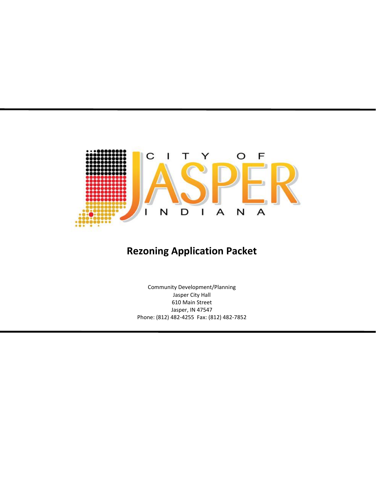

# **Rezoning Application Packet**

Community Development/Planning Jasper City Hall 610 Main Street Jasper, IN 47547 Phone: (812) 482-4255 Fax: (812) 482-7852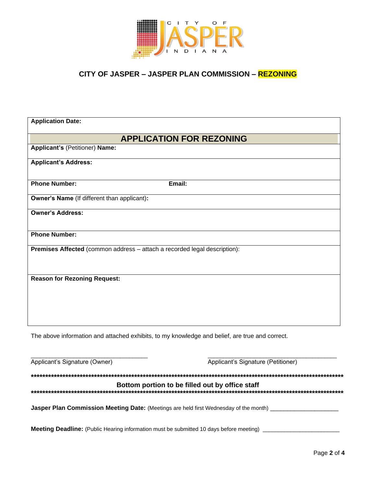

#### CITY OF JASPER - JASPER PLAN COMMISSION - REZONING

| <b>Application Date:</b>                                                  |        |  |  |  |
|---------------------------------------------------------------------------|--------|--|--|--|
| <b>APPLICATION FOR REZONING</b>                                           |        |  |  |  |
| Applicant's (Petitioner) Name:                                            |        |  |  |  |
| <b>Applicant's Address:</b>                                               |        |  |  |  |
| <b>Phone Number:</b>                                                      | Email: |  |  |  |
| <b>Owner's Name</b> (If different than applicant):                        |        |  |  |  |
| <b>Owner's Address:</b>                                                   |        |  |  |  |
| <b>Phone Number:</b>                                                      |        |  |  |  |
| Premises Affected (common address - attach a recorded legal description): |        |  |  |  |
| <b>Reason for Rezoning Request:</b>                                       |        |  |  |  |

The above information and attached exhibits, to my knowledge and belief, are true and correct.

| Applicant's Signature (Owner)                                                                  | Applicant's Signature (Petitioner)              |
|------------------------------------------------------------------------------------------------|-------------------------------------------------|
|                                                                                                |                                                 |
|                                                                                                | Bottom portion to be filled out by office staff |
| Jasper Plan Commission Meeting Date: (Meetings are held first Wednesday of the month)          |                                                 |
|                                                                                                |                                                 |
| <b>Meeting Deadline:</b> (Public Hearing information must be submitted 10 days before meeting) |                                                 |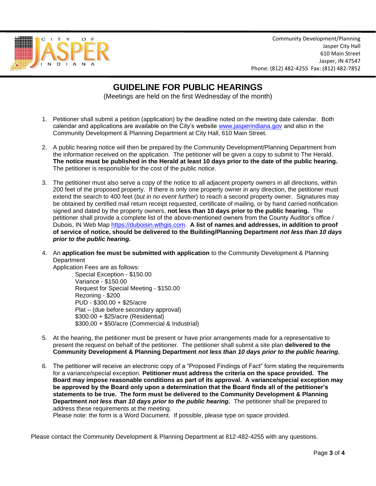

Community Development/Planning Jasper City Hall 610 Main Street Jasper, IN 47547 Phone: (812) 482-4255 Fax: (812) 482-7852

# **GUIDELINE FOR PUBLIC HEARINGS**

(Meetings are held on the first Wednesday of the month)

- 1. Petitioner shall submit a petition (application) by the deadline noted on the meeting date calendar. Both calendar and applications are available on the City's website [www.jasperindiana.gov](http://www.jasperindiana.gov/) and also in the Community Development & Planning Department at City Hall, 610 Main Street.
- 2. A public hearing notice will then be prepared by the Community Development/Planning Department from the information received on the application. The petitioner will be given a copy to submit to The Herald. **The notice must be published in the Herald at least 10 days prior to the date of the public hearing.** The petitioner is responsible for the cost of the public notice.
- 3. The petitioner must also serve a copy of the notice to all adjacent property owners in all directions, within 200 feet of the proposed property. If there is only one property owner in any direction, the petitioner must extend the search to 400 feet (*but in no event further*) to reach a second property owner. Signatures may be obtained by certified mail return receipt requested, certificate of mailing, or by hand carried notification signed and dated by the property owners, **not less than 10 days prior to the public hearing.** The petitioner shall provide a complete list of the above-mentioned owners from the County Auditor's office / Dubois, IN Web Map [https://duboisin.wthgis.com.](https://duboisin.wthgis.com/) **A list of names and addresses, in addition to proof of service of notice, should be delivered to the Building/Planning Department** *not less than 10 days prior to the public hearing.*
- 4. An **application fee must be submitted with application** to the Community Development & Planning **Department**

Application Fees are as follows: Special Exception - \$150.00 Variance - \$150.00 Request for Special Meeting - \$150.00 Rezoning - \$200 PUD - \$300.00 + \$25/acre Plat – (due before secondary approval) \$300.00 + \$25/acre (Residential) \$300.00 + \$50/acre (Commercial & Industrial)

- 5. At the hearing, the petitioner must be present or have prior arrangements made for a representative to present the request on behalf of the petitioner. The petitioner shall submit a site plan **delivered to the Community Development & Planning Department** *not less than 10 days prior to the public hearing.*
- 6. The petitioner will receive an electronic copy of a "Proposed Findings of Fact" form stating the requirements for a variance/special exception. **Petitioner must address the criteria on the space provided. The Board may impose reasonable conditions as part of its approval. A variance/special exception may be approved by the Board only upon a determination that the Board finds all of the petitioner's statements to be true. The form must be delivered to the Community Development & Planning Department** *not less than 10 days prior to the public hearing.* The petitioner shall be prepared to address these requirements at the meeting.

Please note: the form is a Word Document. If possible, please type on space provided.

Please contact the Community Development & Planning Department at 812-482-4255 with any questions.